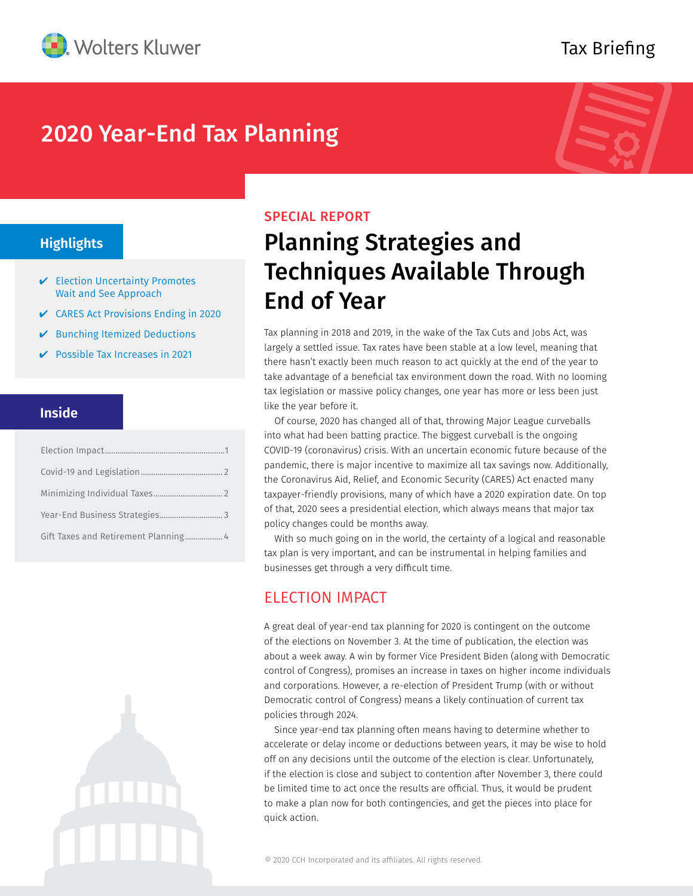

## Tax Briefing

## 2020 Year-End Tax Planning



## **Highlights**

- $\vee$  Election Uncertainty Promotes Wait and See Approach
- $\vee$  CARES Act Provisions Ending in 2020
- $\vee$  Bunching Itemized Deductions
- $\triangleright$  Possible Tax Increases in 2021

### **Inside**

| Gift Taxes and Retirement Planning 4 |  |
|--------------------------------------|--|



#### SPECIAL REPORT

# Planning Strategies and Techniques Available Through End of Year

Tax planning in 2018 and 2019, in the wake of the Tax Cuts and Jobs Act, was largely a settled issue. Tax rates have been stable at a low level, meaning that there hasn't exactly been much reason to act quickly at the end of the year to take advantage of a beneficial tax environment down the road. With no looming tax legislation or massive policy changes, one year has more or less been just like the year before it.

Of course, 2020 has changed all of that, throwing Major League curveballs into what had been batting practice. The biggest curveball is the ongoing COVID-19 (coronavirus) crisis. With an uncertain economic future because of the pandemic, there is major incentive to maximize all tax savings now. Additionally, the Coronavirus Aid, Relief, and Economic Security (CARES) Act enacted many taxpayer-friendly provisions, many of which have a 2020 expiration date. On top of that, 2020 sees a presidential election, which always means that major tax policy changes could be months away.

With so much going on in the world, the certainty of a logical and reasonable tax plan is very important, and can be instrumental in helping families and businesses get through a very difficult time.

## ELECTION IMPACT

A great deal of year-end tax planning for 2020 is contingent on the outcome of the elections on November 3. At the time of publication, the election was about a week away. A win by former Vice President Biden (along with Democratic control of Congress), promises an increase in taxes on higher income individuals and corporations. However, a re-election of President Trump (with or without Democratic control of Congress) means a likely continuation of current tax policies through 2024.

Since year-end tax planning often means having to determine whether to accelerate or delay income or deductions between years, it may be wise to hold off on any decisions until the outcome of the election is clear. Unfortunately, if the election is close and subject to contention after November 3, there could be limited time to act once the results are official. Thus, it would be prudent to make a plan now for both contingencies, and get the pieces into place for quick action.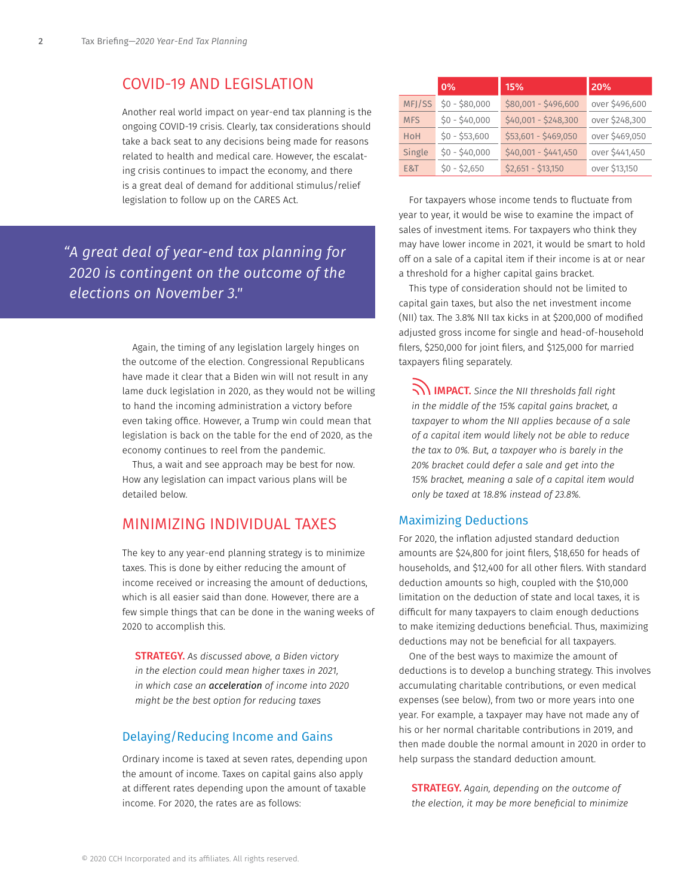## COVID-19 AND LEGISLATION

Another real world impact on year-end tax planning is the ongoing COVID-19 crisis. Clearly, tax considerations should take a back seat to any decisions being made for reasons related to health and medical care. However, the escalating crisis continues to impact the economy, and there is a great deal of demand for additional stimulus/relief legislation to follow up on the CARES Act.

*"A great deal of year-end tax planning for 2020 is contingent on the outcome of the elections on November 3."*

> Again, the timing of any legislation largely hinges on the outcome of the election. Congressional Republicans have made it clear that a Biden win will not result in any lame duck legislation in 2020, as they would not be willing to hand the incoming administration a victory before even taking office. However, a Trump win could mean that legislation is back on the table for the end of 2020, as the economy continues to reel from the pandemic.

Thus, a wait and see approach may be best for now. How any legislation can impact various plans will be detailed below.

### MINIMIZING INDIVIDUAL TAXES

The key to any year-end planning strategy is to minimize taxes. This is done by either reducing the amount of income received or increasing the amount of deductions, which is all easier said than done. However, there are a few simple things that can be done in the waning weeks of 2020 to accomplish this.

STRATEGY. *As discussed above, a Biden victory in the election could mean higher taxes in 2021, in which case an acceleration of income into 2020 might be the best option for reducing taxes*

#### Delaying/Reducing Income and Gains

Ordinary income is taxed at seven rates, depending upon the amount of income. Taxes on capital gains also apply at different rates depending upon the amount of taxable income. For 2020, the rates are as follows:

|            | 0%             | 15%                  | 20%            |
|------------|----------------|----------------------|----------------|
| MFJ/SS     | $$0 - $80,000$ | \$80,001 - \$496,600 | over \$496,600 |
| <b>MFS</b> | $$0 - $40,000$ | \$40,001 - \$248,300 | over \$248,300 |
| HoH        | $$0 - $53,600$ | \$53,601 - \$469,050 | over \$469,050 |
| Single     | $$0 - $40,000$ | $$40,001 - $441,450$ | over \$441,450 |
| E&T        | $$0 - $2,650$  | $$2,651 - $13,150$   | over \$13,150  |

For taxpayers whose income tends to fluctuate from year to year, it would be wise to examine the impact of sales of investment items. For taxpayers who think they may have lower income in 2021, it would be smart to hold off on a sale of a capital item if their income is at or near a threshold for a higher capital gains bracket.

This type of consideration should not be limited to capital gain taxes, but also the net investment income (NII) tax. The 3.8% NII tax kicks in at \$200,000 of modified adjusted gross income for single and head-of-household filers, \$250,000 for joint filers, and \$125,000 for married taxpayers filing separately.

IMPACT. *Since the NII thresholds fall right in the middle of the 15% capital gains bracket, a taxpayer to whom the NII applies because of a sale of a capital item would likely not be able to reduce the tax to 0%. But, a taxpayer who is barely in the 20% bracket could defer a sale and get into the 15% bracket, meaning a sale of a capital item would only be taxed at 18.8% instead of 23.8%.*

#### Maximizing Deductions

For 2020, the inflation adjusted standard deduction amounts are \$24,800 for joint filers, \$18,650 for heads of households, and \$12,400 for all other filers. With standard deduction amounts so high, coupled with the \$10,000 limitation on the deduction of state and local taxes, it is difficult for many taxpayers to claim enough deductions to make itemizing deductions beneficial. Thus, maximizing deductions may not be beneficial for all taxpayers.

One of the best ways to maximize the amount of deductions is to develop a bunching strategy. This involves accumulating charitable contributions, or even medical expenses (see below), from two or more years into one year. For example, a taxpayer may have not made any of his or her normal charitable contributions in 2019, and then made double the normal amount in 2020 in order to help surpass the standard deduction amount.

STRATEGY. *Again, depending on the outcome of the election, it may be more beneficial to minimize*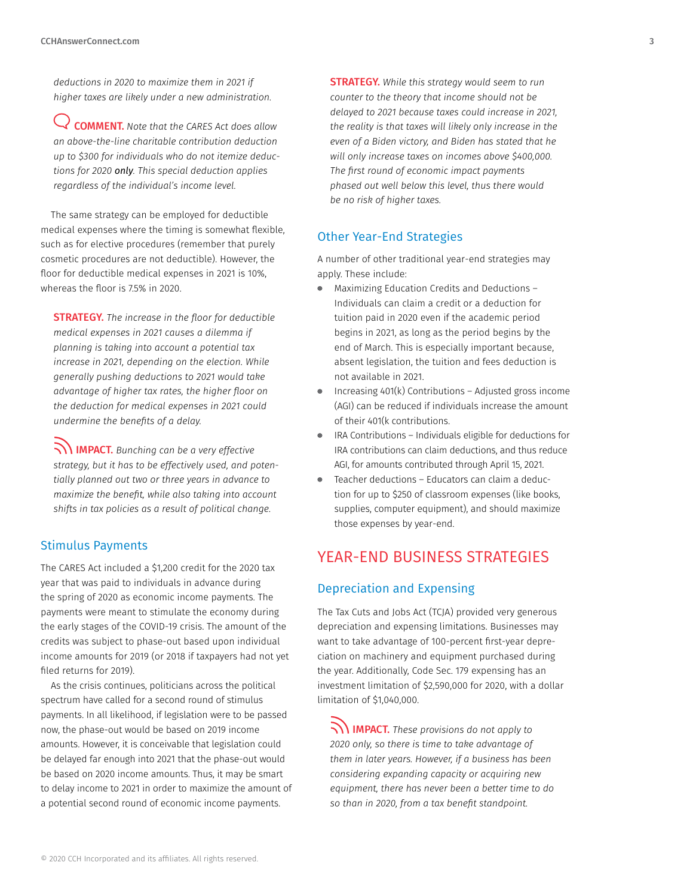*deductions in 2020 to maximize them in 2021 if higher taxes are likely under a new administration.* 

COMMENT. *Note that the CARES Act does allow an above-the-line charitable contribution deduction up to \$300 for individuals who do not itemize deductions for 2020 only. This special deduction applies regardless of the individual's income level.*

The same strategy can be employed for deductible medical expenses where the timing is somewhat flexible, such as for elective procedures (remember that purely cosmetic procedures are not deductible). However, the floor for deductible medical expenses in 2021 is 10%, whereas the floor is 7.5% in 2020.

STRATEGY. *The increase in the floor for deductible medical expenses in 2021 causes a dilemma if planning is taking into account a potential tax increase in 2021, depending on the election. While generally pushing deductions to 2021 would take advantage of higher tax rates, the higher floor on the deduction for medical expenses in 2021 could undermine the benefits of a delay.*

IMPACT. *Bunching can be a very effective strategy, but it has to be effectively used, and potentially planned out two or three years in advance to maximize the benefit, while also taking into account shifts in tax policies as a result of political change.*

#### Stimulus Payments

The CARES Act included a \$1,200 credit for the 2020 tax year that was paid to individuals in advance during the spring of 2020 as economic income payments. The payments were meant to stimulate the economy during the early stages of the COVID-19 crisis. The amount of the credits was subject to phase-out based upon individual income amounts for 2019 (or 2018 if taxpayers had not yet filed returns for 2019).

As the crisis continues, politicians across the political spectrum have called for a second round of stimulus payments. In all likelihood, if legislation were to be passed now, the phase-out would be based on 2019 income amounts. However, it is conceivable that legislation could be delayed far enough into 2021 that the phase-out would be based on 2020 income amounts. Thus, it may be smart to delay income to 2021 in order to maximize the amount of a potential second round of economic income payments.

STRATEGY. *While this strategy would seem to run counter to the theory that income should not be delayed to 2021 because taxes could increase in 2021, the reality is that taxes will likely only increase in the even of a Biden victory, and Biden has stated that he will only increase taxes on incomes above \$400,000. The first round of economic impact payments phased out well below this level, thus there would be no risk of higher taxes.*

#### Other Year-End Strategies

A number of other traditional year-end strategies may apply. These include:

- Maximizing Education Credits and Deductions Individuals can claim a credit or a deduction for tuition paid in 2020 even if the academic period begins in 2021, as long as the period begins by the end of March. This is especially important because, absent legislation, the tuition and fees deduction is not available in 2021.
- Increasing 401(k) Contributions Adjusted gross income (AGI) can be reduced if individuals increase the amount of their 401(k contributions.
- IRA Contributions Individuals eligible for deductions for IRA contributions can claim deductions, and thus reduce AGI, for amounts contributed through April 15, 2021.
- Teacher deductions Educators can claim a deduc- $\blacksquare$ tion for up to \$250 of classroom expenses (like books, supplies, computer equipment), and should maximize those expenses by year-end.

## YEAR-END BUSINESS STRATEGIES

#### Depreciation and Expensing

The Tax Cuts and Jobs Act (TCJA) provided very generous depreciation and expensing limitations. Businesses may want to take advantage of 100-percent first-year depreciation on machinery and equipment purchased during the year. Additionally, Code Sec. 179 expensing has an investment limitation of \$2,590,000 for 2020, with a dollar limitation of \$1,040,000.

IMPACT. *These provisions do not apply to 2020 only, so there is time to take advantage of them in later years. However, if a business has been considering expanding capacity or acquiring new equipment, there has never been a better time to do so than in 2020, from a tax benefit standpoint.*